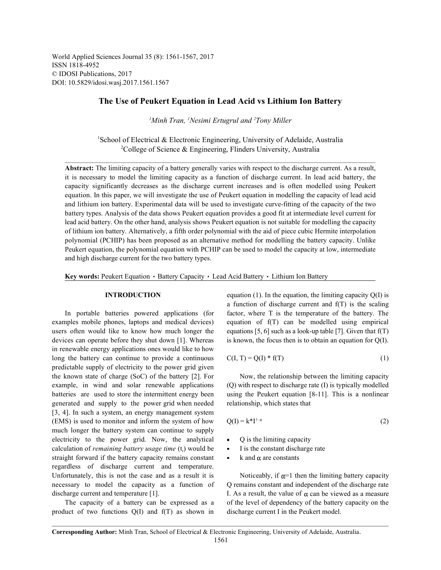World Applied Sciences Journal 35 (8): 1561-1567, 2017 ISSN 1818-4952 © IDOSI Publications, 2017 DOI: 10.5829/idosi.wasj.2017.1561.1567

### **The Use of Peukert Equation in Lead Acid vs Lithium Ion Battery**

<sup>1</sup>Minh Tran, <sup>1</sup>Nesimi Ertugrul and <sup>2</sup>Tony Miller

 ${}^{1}$ School of Electrical & Electronic Engineering, University of Adelaide, Australia <sup>2</sup>College of Science & Engineering, Flinders University, Australia

**Abstract:** The limiting capacity of a battery generally varies with respect to the discharge current. As a result, it is necessary to model the limiting capacity as a function of discharge current. In lead acid battery, the capacity significantly decreases as the discharge current increases and is often modelled using Peukert equation. In this paper, we will investigate the use of Peukert equation in modelling the capacity of lead acid and lithium ion battery. Experimental data will be used to investigate curve-fitting of the capacity of the two battery types. Analysis of the data shows Peukert equation provides a good fit at intermediate level current for lead acid battery. On the other hand, analysis shows Peukert equation is not suitable for modelling the capacity of lithium ion battery. Alternatively, a fifth order polynomial with the aid of piece cubic Hermite interpolation polynomial (PCHIP) has been proposed as an alternative method for modelling the battery capacity. Unlike Peukert equation, the polynomial equation with PCHIP can be used to model the capacity at low, intermediate and high discharge current for the two battery types.

Key words: Peukert Equation · Battery Capacity · Lead Acid Battery · Lithium Ion Battery

examples mobile phones, laptops and medical devices) equation of f(T) can be modelled using empirical users often would like to know how much longer the equations  $[5, 6]$  such as a look-up table  $[7]$ . Given that  $f(T)$ devices can operate before they shut down [1]. Whereas is known, the focus then is to obtain an equation for Q(I). in renewable energy applications ones would like to how long the battery can continue to provide a continuous predictable supply of electricity to the power grid given the known state of charge (SoC) of the battery [2]. For Now, the relationship between the limiting capacity example, in wind and solar renewable applications (Q) with respect to discharge rate (I) is typically modelled batteries are used to store the intermittent energy been using the Peukert equation [8-11]. This is a nonlinear generated and supply to the power grid when needed relationship, which states that [3, 4]. In such a system, an energy management system  $(EMS)$  is used to monitor and inform the system of how much longer the battery system can continue to supply electricity to the power grid. Now, the analytical  $\bullet$  Q is the limiting capacity calculation of *remaining battery usage time*  $(t)$ , would be Fig. 1 is the constant discharge rate straight forward if the battery capacity remains constant  $\bullet$  k and  $\alpha$  are constants regardless of discharge current and temperature. Unfortunately, this is not the case and as a result it is Noticeably, if  $\alpha=1$  then the limiting battery capacity necessary to model the capacity as a function of Q remains constant and independent of the discharge rate discharge current and temperature [1]. I. As a result, the value of  $\alpha$  can be viewed as a measure

product of two functions  $Q(I)$  and  $f(T)$  as shown in discharge current I in the Peukert model.

**INTRODUCTION** equation (1). In the equation, the limiting capacity Q(I) is In portable batteries powered applications (for factor, where T is the temperature of the battery. The a function of discharge current and f(T) is the scaling

$$
C(I, T) = Q(I) * f(T)
$$
\n
$$
(1)
$$

$$
Q(I) = k^*I^{1-\alpha} \tag{2}
$$

- 
- 
- 

The capacity of a battery can be expressed as a of the level of dependency of the battery capacity on the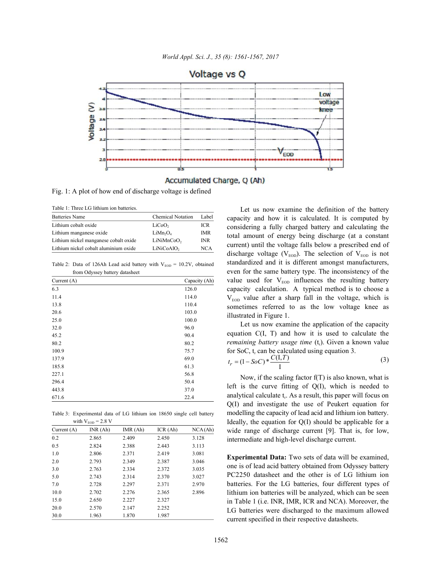

Accumulated Charge, Q (Ah)

Fig. 1: A plot of how end of discharge voltage is defined

Table 1: Three LG lithium ion batteries.

| <b>Batteries Name</b>                 | <b>Chemical Notation</b>         | Label      |
|---------------------------------------|----------------------------------|------------|
| Lithium cobalt oxide                  | LiCoO,                           | ICR        |
| Lithium manganese oxide               | LiMn <sub>2</sub> O <sub>4</sub> | <b>IMR</b> |
| Lithium nickel manganese cobalt oxide | LiNiMnCoO,                       | <b>INR</b> |
| Lithium nickel cobalt aluminium oxide | LiNiCoAlO <sub>2</sub>           | NCA        |

Table 2: Data of 126Ah Lead acid battery with  $V_{EOD} = 10.2V$ , obtained from Odyssey battery datasheet

| Current $(A)$ | Capacity (Ah) |
|---------------|---------------|
| 6.3           | 126.0         |
| 11.4          | 114.0         |
| 13.8          | 110.4         |
| 20.6          | 103.0         |
| 25.0          | 100.0         |
| 32.0          | 96.0          |
| 45.2          | 90.4          |
| 80.2          | 80.2          |
| 100.9         | 75.7          |
| 137.9         | 69.0          |
| 185.8         | 61.3          |
| 227.1         | 56.8          |
| 296.4         | 50.4          |
| 443.8         | 37.0          |
| 671.6         | 22.4          |

Table 3: Experimental data of LG lithium ion 18650 single cell battery with  $V_{\text{max}} = 2.8$  V

| Current $(A)$ | INR(Ah) | IMR(Ah) | ICR(Ah) | NCA(Ah) |
|---------------|---------|---------|---------|---------|
| 0.2           | 2.865   | 2.409   | 2.450   | 3.128   |
| 0.5           | 2.824   | 2.388   | 2.443   | 3.113   |
| 1.0           | 2.806   | 2.371   | 2.419   | 3.081   |
| 2.0           | 2.793   | 2.349   | 2.387   | 3.046   |
| 3.0           | 2.763   | 2.334   | 2.372   | 3.035   |
| 5.0           | 2.743   | 2.314   | 2.370   | 3.027   |
| 7.0           | 2.728   | 2.297   | 2.371   | 2.970   |
| 10.0          | 2.702   | 2.276   | 2.365   | 2.896   |
| 15.0          | 2.650   | 2.227   | 2.327   |         |
| 20.0          | 2.570   | 2.147   | 2.252   |         |
| 30.0          | 1.963   | 1.870   | 1.987   |         |

Let us now examine the definition of the battery capacity and how it is calculated. It is computed by considering a fully charged battery and calculating the total amount of energy being discharge (at a constant current) until the voltage falls below a prescribed end of discharge voltage ( $V_{FOD}$ ). The selection of  $V_{FOD}$  is not standardized and it is different amongst manufacturers, even for the same battery type. The inconsistency of the value used for  $V_{EOD}$  influences the resulting battery capacity calculation. A typical method is to choose a  $V_{\text{non}}$  value after a sharp fall in the voltage, which is sometimes referred to as the low voltage knee as illustrated in Figure 1.

Let us now examine the application of the capacity equation C(I, T) and how it is used to calculate the *remaining battery usage time* (t<sub>r</sub>). Given a known value for SoC,  $t_r$  can be calculated using equation 3.

$$
t_r = (1 - SoC) * \frac{C(I, T)}{I}
$$
 (3)

Now, if the scaling factor  $f(T)$  is also known, what is left is the curve fitting of Q(I), which is needed to analytical calculate  $t_r$ . As a result, this paper will focus on Q(I) and investigate the use of Peukert equation for modelling the capacity of lead acid and lithium ion battery. Ideally, the equation for Q(I) should be applicable for a wide range of discharge current [9]. That is, for low, intermediate and high-level discharge current.

**Experimental Data:** Two sets of data will be examined, one is of lead acid battery obtained from Odyssey battery PC2250 datasheet and the other is of LG lithium ion batteries. For the LG batteries, four different types of lithium ion batteries will be analyzed, which can be seen in Table 1 (i.e. INR, IMR, ICR and NCA). Moreover, the LG batteries were discharged to the maximum allowed current specified in their respective datasheets.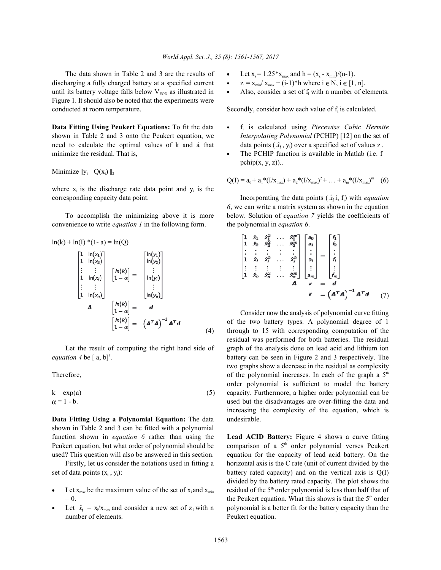The data shown in Table  $2$  and  $3$  are the results of discharging a fully charged battery at a specified current until its battery voltage falls below  $V_{\text{EOD}}$  as illustrated in  $\bullet$ Figure 1. It should also be noted that the experiments were conducted at room temperature. Secondly, consider how each value of  $f_i$  is calculated.

**Data Fitting Using Peukert Equations:** To fit the data  $\bullet$ shown in Table 2 and 3 onto the Peukert equation, we *Interpolating Polynomial* (PCHIP) [12] on the set of need to calculate the optimal values of k and á that minimize the residual. That is,  $\blacksquare$  The PCHIP function is available in Matlab (i.e.  $f =$ 

Minimize  $||y_i - Q(x_i)||_2$ 

where  $x_i$  is the discharge rate data point and  $y_i$  is the

convenience to write *equation 1* in the following form. the polynomial in *equation 6*.

$$
\ln(k) + \ln(1) * (1 - a) = \ln(Q)
$$
\n
$$
\begin{bmatrix}\n1 & \ln(x_1) \\
1 & \ln(x_2) \\
\vdots & \vdots \\
1 & \ln(x_i) \\
\vdots & \vdots \\
1 & \ln(x_n)\n\end{bmatrix}\n\begin{bmatrix}\n\ln(k) \\
1 - \alpha\n\end{bmatrix} = \n\begin{bmatrix}\n\ln(y_1) \\
\vdots \\
\ln(y_2) \\
\vdots \\
\ln(y_i) \\
\vdots \\
\ln(y_n)\n\end{bmatrix}
$$
\n
$$
A = \n\begin{bmatrix}\n\ln(k) \\
1 - \alpha\n\end{bmatrix} = d
$$
\n
$$
\begin{bmatrix}\n\ln(k) \\
1 - \alpha\n\end{bmatrix} = (A^T A)^{-1} A^T d
$$
\n(4)

*equation 4* be  $[a, b]^T$ .

$$
k = \exp(a) \tag{5}
$$

$$
\alpha = 1 - b.
$$

**Data Fitting Using a Polynomial Equation:** The data undesirable. shown in Table 2 and 3 can be fitted with a polynomial function shown in *equation 6* rather than using the **Lead ACID Battery:** Figure 4 shows a curve fitting Peukert equation, but what order of polynomial should be comparison of a  $5<sup>th</sup>$  order polynomial verses Peukert used? This question will also be answered in this section. equation for the capacity of lead acid battery. On the

set of data points  $(x_i, y_i)$ : battery rated capacity) and on the vertical axis is  $Q(I)$ 

- Let  $x_{\text{max}}$  be the maximum value of the set of  $x_i$  and  $x_{\text{min}}$
- Let  $\hat{x}_i = x_i/x_{max}$  and consider a new set of  $z_i$  with n number of elements. Peukert equation.
- Let  $x_s = 1.25 * x_{max}$  and  $h = (x_s x_{min})/(n-1)$ .
- $z_i = x_{min} / x_{max} + (i-1)*h$  where  $i \in N$ ,  $i \in [1, n]$ .
- Also, consider a set of  $f_i$  with n number of elements.

- $\hat{x}_i$ , y<sub>i</sub>) over a specified set of values  $z_i$ f<sub>i</sub> is calculated using Piecewise Cubic Hermite
- $pchip(x, y, z)$ )...

$$
Q(I) = a_0 + a_1 * (I/x_{\text{max}}) + a_2 * (I/x_{\text{max}})^2 + ... + a_m * (I/x_{\text{max}})^m
$$
 (6)

corresponding capacity data point. Incorporating the data points  $(\hat{x}_i, \hat{t}_i)$  with *equation* To accomplish the minimizing above it is more below. Solution of *equation 7* yields the coefficients of *6*, we can write a matrix system as shown in the equation

$$
\begin{bmatrix}\n1 & \hat{x}_1 & \hat{x}_1^T & \dots & \hat{x}_1^T \\
1 & \hat{x}_2 & \hat{x}_2^2 & \dots & \hat{x}_2^T \\
\vdots & \vdots & \vdots & \vdots & \vdots \\
1 & \hat{x}_i & \hat{x}_i^2 & \dots & \hat{x}_i^T \\
\vdots & \vdots & \vdots & \vdots & \vdots \\
1 & \hat{x}_n & \hat{x}_n^2 & \dots & \hat{x}_n^T\n\end{bmatrix}\n\begin{bmatrix}\na_0 \\
a_1 \\
a_2 \\
\vdots \\
a_n\n\end{bmatrix}\n=\n\begin{bmatrix}\nf_1 \\
f_2 \\
\vdots \\
f_n \\
f_n\n\end{bmatrix}
$$
\n
$$
\begin{bmatrix}\n1 \\
f_2 \\
\vdots \\
f_n\n\end{bmatrix}
$$
\n
$$
\begin{bmatrix}\n1 \\
f_2 \\
\vdots \\
f_n\n\end{bmatrix}
$$
\n
$$
\begin{bmatrix}\n1 \\
f_2 \\
\vdots \\
f_n\n\end{bmatrix}
$$
\n
$$
\begin{bmatrix}\n1 \\
f_2 \\
\vdots \\
f_n\n\end{bmatrix}
$$
\n
$$
\begin{bmatrix}\n1 \\
f_2 \\
\vdots \\
f_n\n\end{bmatrix}
$$
\n
$$
\begin{bmatrix}\n1 \\
f_2 \\
\vdots \\
f_n\n\end{bmatrix}
$$
\n
$$
\begin{bmatrix}\n1 \\
f_2 \\
\vdots \\
f_n\n\end{bmatrix}
$$
\n
$$
\begin{bmatrix}\n1 \\
f_2 \\
\vdots \\
f_n\n\end{bmatrix}
$$
\n
$$
\begin{bmatrix}\n1 \\
f_2 \\
\vdots \\
f_n\n\end{bmatrix}
$$
\n
$$
\begin{bmatrix}\n1 \\
f_2 \\
\vdots \\
f_n\n\end{bmatrix}
$$
\n
$$
\begin{bmatrix}\n1 \\
f_2 \\
\vdots \\
f_n\n\end{bmatrix}
$$
\n
$$
\begin{bmatrix}\n1 \\
f_2 \\
\vdots \\
f_n\n\end{bmatrix}
$$
\n
$$
\begin{bmatrix}\n1 \\
f_2 \\
\vdots \\
f_n\n\end{bmatrix}
$$
\n
$$
\begin{bmatrix}\n1 \\
f_2 \\
\vdots \\
f_n\n\end{bmatrix}
$$
\n
$$
\begin
$$

(4) through to 15 with corresponding computation of the Let the result of computing the right hand side of graph of the analysis done on lead acid and lithium ion Therefore,  $\qquad \qquad$  of the polynomial increases. In each of the graph a  $5^{\text{th}}$ capacity. Furthermore, a higher order polynomial can be used but the disadvantages are over-fitting the data and Consider now the analysis of polynomial curve fitting of the two battery types. A polynomial degree of 1 residual was performed for both batteries. The residual two graphs show a decrease in the residual as complexity order polynomial is sufficient to model the battery increasing the complexity of the equation, which is

Firstly, let us consider the notations used in fitting a horizontal axis is the C rate (unit of current divided by the  $= 0.$  the Peukert equation. What this shows is that the  $5<sup>th</sup>$  order polynomial is a better fit for the battery capacity than the divided by the battery rated capacity. The plot shows the residual of the  $5<sup>th</sup>$  order polynomial is less than half that of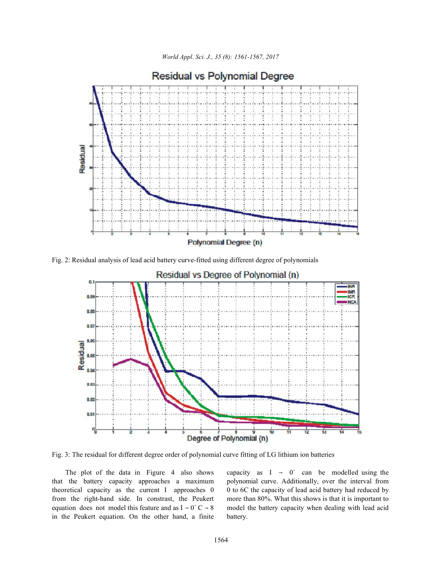*World Appl. Sci. J., 35 (8): 1561-1567, 2017*



**Residual vs Polynomial Degree** 

Fig. 2: Residual analysis of lead acid battery curve-fitted using different degree of polynomials



Fig. 3: The residual for different degree order of polynomial curve fitting of LG lithium ion batteries

that the battery capacity approaches a maximum polynomial curve. Additionally, over the interval from theoretical capacity as the current I approaches  $0 \ 0$  to 6C the capacity of lead acid battery had reduced by from the right-hand side. In constrast, the Peukert more than 80%. What this shows is that it is important to equation does not model this feature and as  $I \rightarrow 0^+C \rightarrow 8$  model the battery capacity when dealing with lead acid in the Peukert equation. On the other hand, a finite battery.

The plot of the data in Figure 4 also shows capacity as  $I \rightarrow 0^+$  can be modelled using the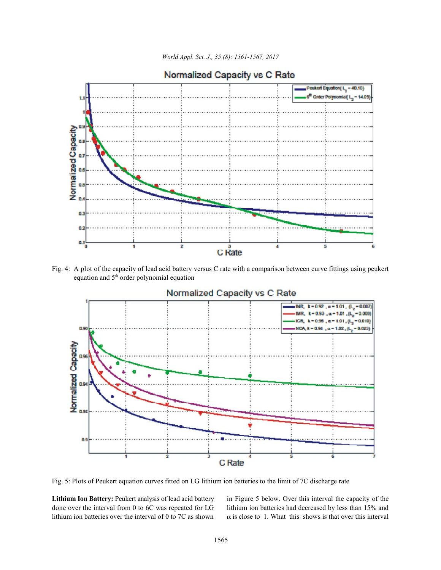



# Normalized Capacity vs C Rate

Fig. 4: A plot of the capacity of lead acid battery versus C rate with a comparison between curve fittings using peukert equation and  $5<sup>th</sup>$  order polynomial equation



## Normalized Capacity vs C Rate

Fig. 5: Plots of Peukert equation curves fitted on LG lithium ion batteries to the limit of 7C discharge rate

Lithium Ion Battery: Peukert analysis of lead acid battery in Figure 5 below. Over this interval the capacity of the done over the interval from 0 to 6C was repeated for LG lithium ion batteries had decreased by less than 15% and lithium ion batteries over the interval of 0 to 7C as shown  $\alpha$  is close to 1. What this shows is that over this interval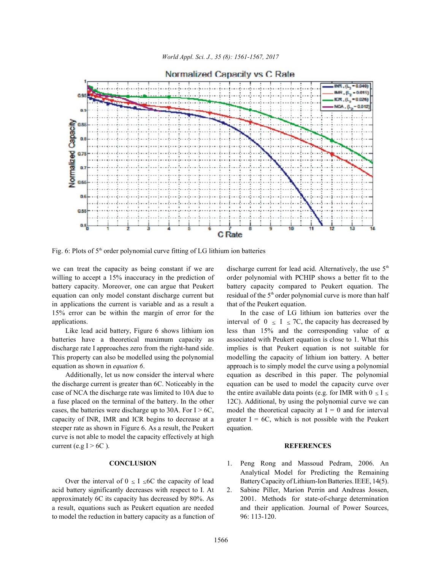

Fig. 6: Plots of  $5<sup>th</sup>$  order polynomial curve fitting of LG lithium ion batteries

we can treat the capacity as being constant if we are equation can only model constant discharge current but in applications the current is variable and as a result a that of the Peukert equation. 15% error can be within the margin of error for the In the case of LG lithium ion batteries over the applications. interval of  $0 \le I \le 7C$ , the capacity has decreased by

batteries have a theoretical maximum capacity as associated with Peukert equation is close to 1. What this discharge rate I approaches zero from the right-hand side. implies is that Peukert equation is not suitable for This property can also be modelled using the polynomial modelling the capacity of lithium ion battery. A better equation as shown in *equation 6*. **approach is to simply model the curve using a polynomial** 

the discharge current is greater than 6C. Noticeably in the equation can be used to model the capacity curve over case of NCA the discharge rate was limited to 10A due to the entire available data points (e.g. for IMR with  $0 \le I \le$ a fuse placed on the terminal of the battery. In the other 12C). Additional, by using the polynomial curve we can cases, the batteries were discharge up to 30A. For  $I > 6C$ , model the theoretical capacity at  $I = 0$  and for interval capacity of INR, IMR and ICR begins to decrease at a greater  $I = 6C$ , which is not possible with the Peukert steeper rate as shown in Figure 6. As a result, the Peukert equation. curve is not able to model the capacity effectively at high current (e.g I > 6C ). **REFERENCES**

acid battery significantly decreases with respect to I. At 2. Sabine Piller, Marion Perrin and Andreas Jossen, to model the reduction in battery capacity as a function of 96: 113-120.

willing to accept a 15% inaccuracy in the prediction of order polynomial with PCHIP shows a better fit to the battery capacity. Moreover, one can argue that Peukert battery capacity compared to Peukert equation. The discharge current for lead acid. Alternatively, the use 5<sup>th</sup> residual of the  $5<sup>th</sup>$  order polynomial curve is more than half

Like lead acid battery, Figure 6 shows lithium ion less than 15% and the corresponding value of  $\alpha$ Additionally, let us now consider the interval where equation as described in this paper. The polynomial

- **CONCLUSION** 1. Peng Rong and Massoud Pedram, 2006. An Over the interval of  $0 \le I \le 6C$  the capacity of lead Battery Capacity of Lithium-Ion Batteries. IEEE, 14(5). Analytical Model for Predicting the Remaining
- approximately 6C its capacity has decreased by 80%. As 2001. Methods for state-of-charge determination a result, equations such as Peukert equation are needed and their application. Journal of Power Sources,